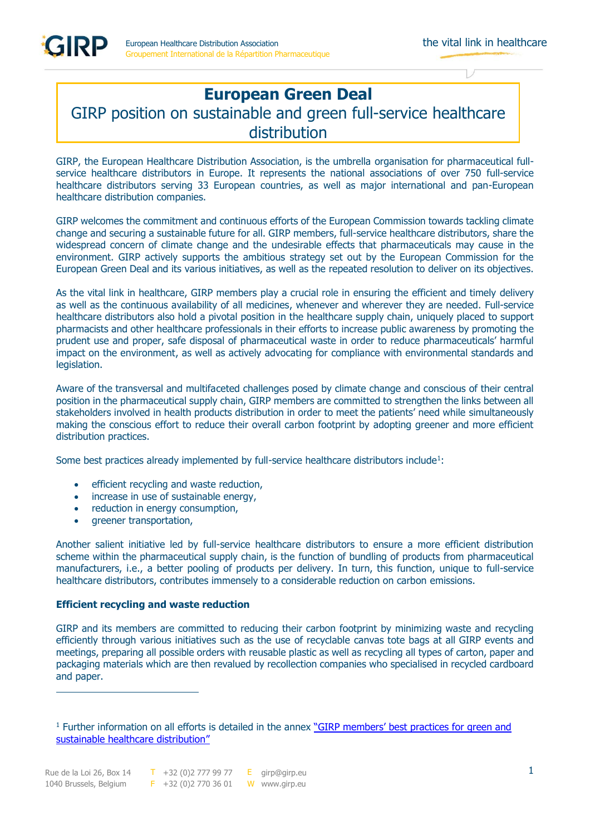GIRP

# **European Green Deal**  GIRP position on sustainable and green full-service healthcare distribution

GIRP, the European Healthcare Distribution Association, is the umbrella organisation for pharmaceutical fullservice healthcare distributors in Europe. It represents the national associations of over 750 full-service healthcare distributors serving 33 European countries, as well as major international and pan-European healthcare distribution companies.

GIRP welcomes the commitment and continuous efforts of the European Commission towards tackling climate change and securing a sustainable future for all. GIRP members, full-service healthcare distributors, share the widespread concern of climate change and the undesirable effects that pharmaceuticals may cause in the environment. GIRP actively supports the ambitious strategy set out by the European Commission for the European Green Deal and its various initiatives, as well as the repeated resolution to deliver on its objectives.

As the vital link in healthcare, GIRP members play a crucial role in ensuring the efficient and timely delivery as well as the continuous availability of all medicines, whenever and wherever they are needed. Full-service healthcare distributors also hold a pivotal position in the healthcare supply chain, uniquely placed to support pharmacists and other healthcare professionals in their efforts to increase public awareness by promoting the prudent use and proper, safe disposal of pharmaceutical waste in order to reduce pharmaceuticals' harmful impact on the environment, as well as actively advocating for compliance with environmental standards and legislation.

Aware of the transversal and multifaceted challenges posed by climate change and conscious of their central position in the pharmaceutical supply chain, GIRP members are committed to strengthen the links between all stakeholders involved in health products distribution in order to meet the patients' need while simultaneously making the conscious effort to reduce their overall carbon footprint by adopting greener and more efficient distribution practices.

Some best practices already implemented by full-service healthcare distributors include<sup>1</sup>:

- efficient recycling and waste reduction,
- increase in use of sustainable energy,
- reduction in energy consumption,
- greener transportation,

Another salient initiative led by full-service healthcare distributors to ensure a more efficient distribution scheme within the pharmaceutical supply chain, is the function of bundling of products from pharmaceutical manufacturers, i.e., a better pooling of products per delivery. In turn, this function, unique to full-service healthcare distributors, contributes immensely to a considerable reduction on carbon emissions.

## **Efficient recycling and waste reduction**

GIRP and its members are committed to reducing their carbon footprint by minimizing waste and recycling efficiently through various initiatives such as the use of recyclable canvas tote bags at all GIRP events and meetings, preparing all possible orders with reusable plastic as well as recycling all types of carton, paper and packaging materials which are then revalued by recollection companies who specialised in recycled cardboard and paper.

<sup>&</sup>lt;sup>1</sup> Further information on all efforts is detailed in the annex "GIRP members' best practices for green and [sustainable healthcare distribution](https://girpbrussels.sharepoint.com/sites/DoA/Shared%20Documents/Forms/AllItems.aspx?id=%2Fsites%2FDoA%2FShared%20Documents%2FLobbying%20toolbox%2FGIRP%20position%20papers%2FGIRP%20members%E2%80%98%20best%20practices%20for%20green%20and%20sustainable%20healthcare%20distribution%2Epdf&parent=%2Fsites%2FDoA%2FShared%20Documents%2FLobbying%20toolbox%2FGIRP%20position%20papers)"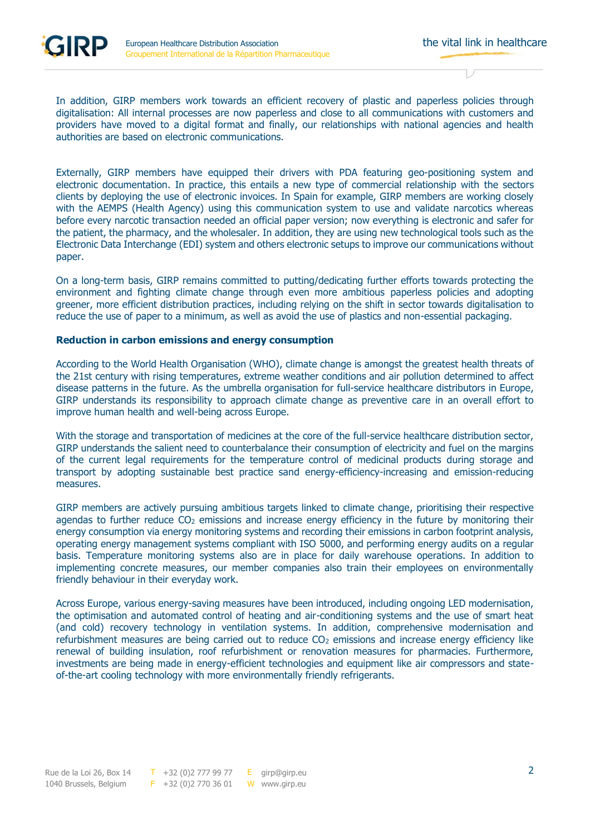In addition, GIRP members work towards an efficient recovery of plastic and paperless policies through digitalisation: All internal processes are now paperless and close to all communications with customers and providers have moved to a digital format and finally, our relationships with national agencies and health authorities are based on electronic communications.

Externally, GIRP members have equipped their drivers with PDA featuring geo-positioning system and electronic documentation. In practice, this entails a new type of commercial relationship with the sectors clients by deploying the use of electronic invoices. In Spain for example, GIRP members are working closely with the AEMPS (Health Agency) using this communication system to use and validate narcotics whereas before every narcotic transaction needed an official paper version; now everything is electronic and safer for the patient, the pharmacy, and the wholesaler. In addition, they are using new technological tools such as the Electronic Data Interchange (EDI) system and others electronic setups to improve our communications without paper.

On a long-term basis, GIRP remains committed to putting/dedicating further efforts towards protecting the environment and fighting climate change through even more ambitious paperless policies and adopting greener, more efficient distribution practices, including relying on the shift in sector towards digitalisation to reduce the use of paper to a minimum, as well as avoid the use of plastics and non-essential packaging.

### **Reduction in carbon emissions and energy consumption**

According to the World Health Organisation (WHO), climate change is amongst the greatest health threats of the 21st century with rising temperatures, extreme weather conditions and air pollution determined to affect disease patterns in the future. As the umbrella organisation for full-service healthcare distributors in Europe, GIRP understands its responsibility to approach climate change as preventive care in an overall effort to improve human health and well-being across Europe.

With the storage and transportation of medicines at the core of the full-service healthcare distribution sector, GIRP understands the salient need to counterbalance their consumption of electricity and fuel on the margins of the current legal requirements for the temperature control of medicinal products during storage and transport by adopting sustainable best practice sand energy-efficiency-increasing and emission-reducing measures.

GIRP members are actively pursuing ambitious targets linked to climate change, prioritising their respective agendas to further reduce  $CO<sub>2</sub>$  emissions and increase energy efficiency in the future by monitoring their energy consumption via energy monitoring systems and recording their emissions in carbon footprint analysis, operating energy management systems compliant with ISO 5000, and performing energy audits on a regular basis. Temperature monitoring systems also are in place for daily warehouse operations. In addition to implementing concrete measures, our member companies also train their employees on environmentally friendly behaviour in their everyday work.

Across Europe, various energy-saving measures have been introduced, including ongoing LED modernisation, the optimisation and automated control of heating and air-conditioning systems and the use of smart heat (and cold) recovery technology in ventilation systems. In addition, comprehensive modernisation and refurbishment measures are being carried out to reduce CO<sub>2</sub> emissions and increase energy efficiency like renewal of building insulation, roof refurbishment or renovation measures for pharmacies. Furthermore, investments are being made in energy-efficient technologies and equipment like air compressors and stateof-the-art cooling technology with more environmentally friendly refrigerants.